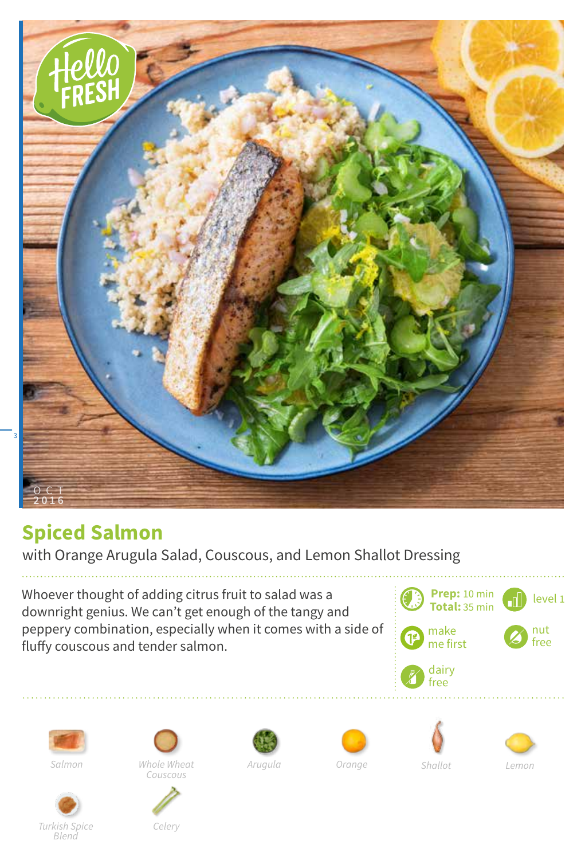

## **Spiced Salmon**

with Orange Arugula Salad, Couscous, and Lemon Shallot Dressing

Whoever thought of adding citrus fruit to salad was a downright genius. We can't get enough of the tangy and peppery combination, especially when it comes with a side of fluffy couscous and tender salmon.





*Salmon*





*Celery*